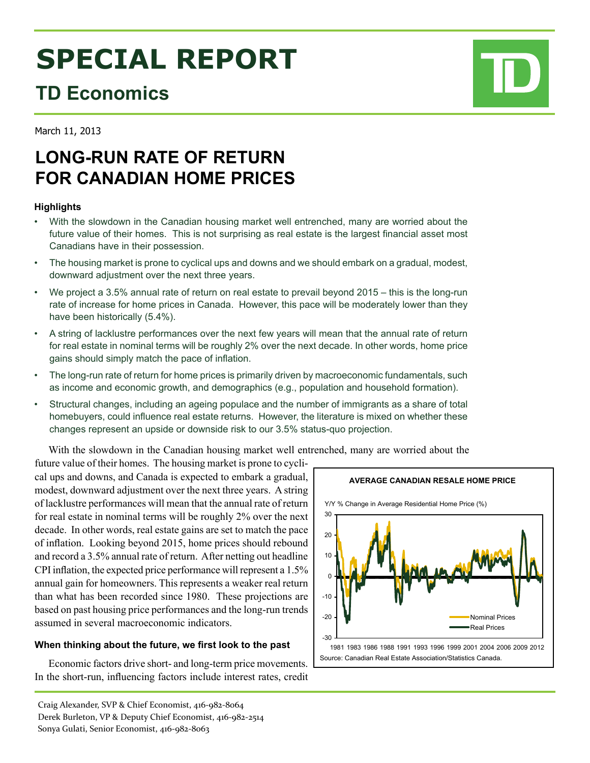# **SPECIAL REPORT**

# **TD Economics**

# **LONG-RUN RATE OF RETURN FOR CANADIAN HOME PRICES**

## **Highlights**

March 11, 2013

- • With the slowdown in the Canadian housing market well entrenched, many are worried about the future value of their homes. This is not surprising as real estate is the largest financial asset most Canadians have in their possession.
- The housing market is prone to cyclical ups and downs and we should embark on a gradual, modest, downward adjustment over the next three years.
- • We project a 3.5% annual rate of return on real estate to prevail beyond 2015 this is the long-run rate of increase for home prices in Canada. However, this pace will be moderately lower than they have been historically (5.4%).
- A string of lacklustre performances over the next few years will mean that the annual rate of return for real estate in nominal terms will be roughly 2% over the next decade. In other words, home price gains should simply match the pace of inflation.
- The long-run rate of return for home prices is primarily driven by macroeconomic fundamentals, such as income and economic growth, and demographics (e.g., population and household formation).
- Structural changes, including an ageing populace and the number of immigrants as a share of total homebuyers, could influence real estate returns. However, the literature is mixed on whether these changes represent an upside or downside risk to our 3.5% status-quo projection.

With the slowdown in the Canadian housing market well entrenched, many are worried about the

future value of their homes. The housing market is prone to cyclical ups and downs, and Canada is expected to embark a gradual, modest, downward adjustment over the next three years. A string of lacklustre performances will mean that the annual rate of return for real estate in nominal terms will be roughly 2% over the next decade. In other words, real estate gains are set to match the pace of inflation. Looking beyond 2015, home prices should rebound and record a 3.5% annual rate of return. After netting out headline CPI inflation, the expected price performance will represent a 1.5% annual gain for homeowners. This represents a weaker real return than what has been recorded since 1980. These projections are based on past housing price performances and the long-run trends assumed in several macroeconomic indicators.

### **When thinking about the future, we first look to the past**

Economic factors drive short- and long-term price movements. In the short-run, influencing factors include interest rates, credit



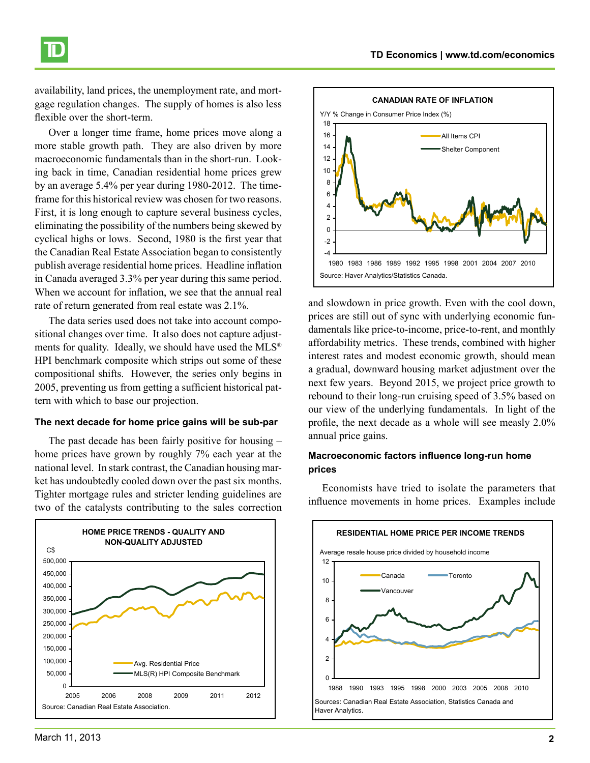availability, land prices, the unemployment rate, and mortgage regulation changes. The supply of homes is also less flexible over the short-term.

Over a longer time frame, home prices move along a more stable growth path. They are also driven by more macroeconomic fundamentals than in the short-run. Looking back in time, Canadian residential home prices grew by an average 5.4% per year during 1980-2012. The timeframe for this historical review was chosen for two reasons. First, it is long enough to capture several business cycles, eliminating the possibility of the numbers being skewed by cyclical highs or lows. Second, 1980 is the first year that the Canadian Real Estate Association began to consistently publish average residential home prices. Headline inflation in Canada averaged 3.3% per year during this same period. When we account for inflation, we see that the annual real rate of return generated from real estate was 2.1%.

The data series used does not take into account compositional changes over time. It also does not capture adjustments for quality. Ideally, we should have used the MLS® HPI benchmark composite which strips out some of these compositional shifts. However, the series only begins in 2005, preventing us from getting a sufficient historical pattern with which to base our projection.

#### **The next decade for home price gains will be sub-par**

The past decade has been fairly positive for housing – home prices have grown by roughly 7% each year at the national level. In stark contrast, the Canadian housing market has undoubtedly cooled down over the past six months. Tighter mortgage rules and stricter lending guidelines are two of the catalysts contributing to the sales correction





and slowdown in price growth. Even with the cool down, prices are still out of sync with underlying economic fundamentals like price-to-income, price-to-rent, and monthly affordability metrics. These trends, combined with higher interest rates and modest economic growth, should mean a gradual, downward housing market adjustment over the next few years. Beyond 2015, we project price growth to rebound to their long-run cruising speed of 3.5% based on our view of the underlying fundamentals. In light of the profile, the next decade as a whole will see measly 2.0% annual price gains.

#### **Macroeconomic factors influence long-run home prices**

Economists have tried to isolate the parameters that influence movements in home prices. Examples include

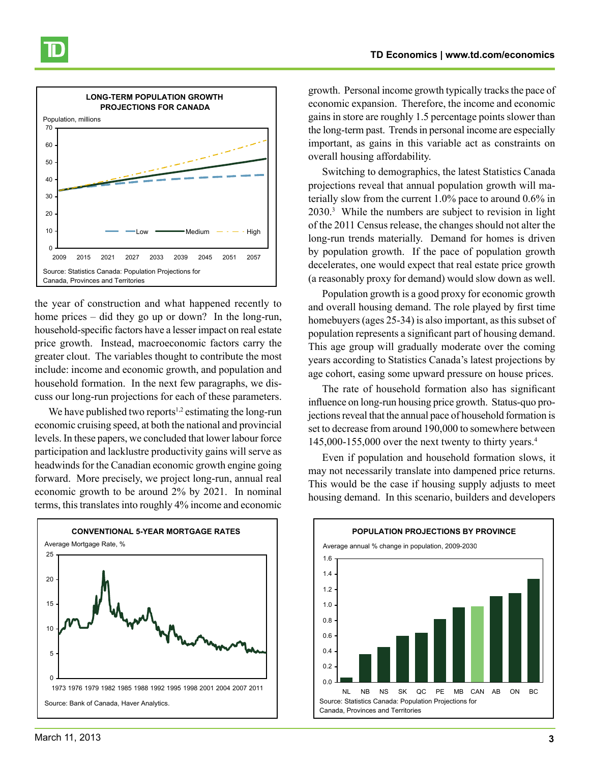

the year of construction and what happened recently to home prices – did they go up or down? In the long-run, household-specific factors have a lesser impact on real estate price growth. Instead, macroeconomic factors carry the greater clout. The variables thought to contribute the most include: income and economic growth, and population and household formation. In the next few paragraphs, we discuss our long-run projections for each of these parameters.

We have published two reports<sup>1,2</sup> estimating the long-run economic cruising speed, at both the national and provincial levels. In these papers, we concluded that lower labour force participation and lacklustre productivity gains will serve as headwinds for the Canadian economic growth engine going forward. More precisely, we project long-run, annual real economic growth to be around 2% by 2021. In nominal terms, this translates into roughly 4% income and economic



growth. Personal income growth typically tracks the pace of economic expansion. Therefore, the income and economic gains in store are roughly 1.5 percentage points slower than the long-term past. Trends in personal income are especially important, as gains in this variable act as constraints on overall housing affordability.

Switching to demographics, the latest Statistics Canada projections reveal that annual population growth will materially slow from the current 1.0% pace to around 0.6% in 2030.<sup>3</sup> While the numbers are subject to revision in light of the 2011 Census release, the changes should not alter the long-run trends materially. Demand for homes is driven by population growth. If the pace of population growth decelerates, one would expect that real estate price growth (a reasonably proxy for demand) would slow down as well.

Population growth is a good proxy for economic growth and overall housing demand. The role played by first time homebuyers (ages 25-34) is also important, as this subset of population represents a significant part of housing demand. This age group will gradually moderate over the coming years according to Statistics Canada's latest projections by age cohort, easing some upward pressure on house prices.

The rate of household formation also has significant influence on long-run housing price growth. Status-quo projections reveal that the annual pace of household formation is set to decrease from around 190,000 to somewhere between  $145,000-155,000$  over the next twenty to thirty years.<sup>4</sup>

Even if population and household formation slows, it may not necessarily translate into dampened price returns. This would be the case if housing supply adjusts to meet housing demand. In this scenario, builders and developers

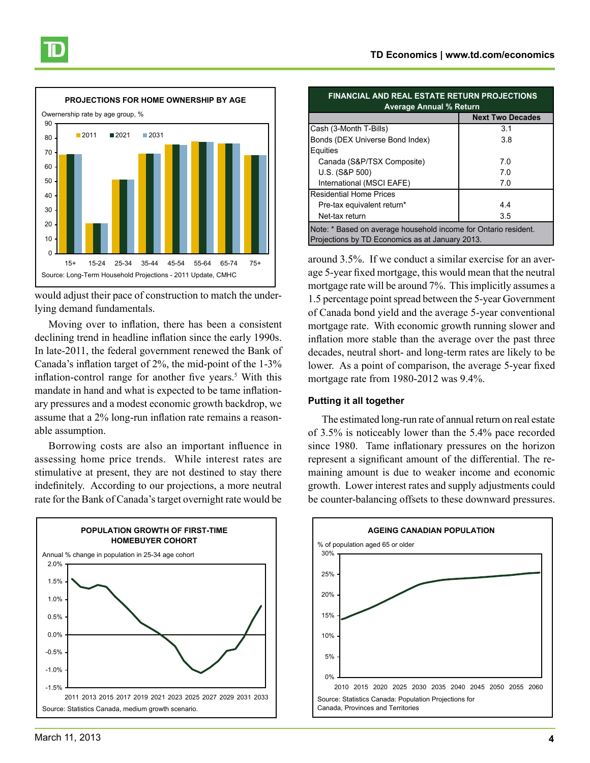

would adjust their pace of construction to match the underlying demand fundamentals.

Moving over to inflation, there has been a consistent declining trend in headline inflation since the early 1990s. In late-2011, the federal government renewed the Bank of Canada's inflation target of 2%, the mid-point of the 1-3% inflation-control range for another five years.<sup>5</sup> With this mandate in hand and what is expected to be tame inflationary pressures and a modest economic growth backdrop, we assume that a 2% long-run inflation rate remains a reasonable assumption.

Borrowing costs are also an important influence in assessing home price trends. While interest rates are stimulative at present, they are not destined to stay there indefinitely. According to our projections, a more neutral rate for the Bank of Canada's target overnight rate would be



| <b>FINANCIAL AND REAL ESTATE RETURN PROJECTIONS</b><br><b>Average Annual % Return</b>                              |                         |  |
|--------------------------------------------------------------------------------------------------------------------|-------------------------|--|
|                                                                                                                    | <b>Next Two Decades</b> |  |
| Cash (3-Month T-Bills)                                                                                             | 3.1                     |  |
| Bonds (DEX Universe Bond Index)                                                                                    | 3.8                     |  |
| Equities                                                                                                           |                         |  |
| Canada (S&P/TSX Composite)                                                                                         | 7.0                     |  |
| U.S. (S&P 500)                                                                                                     | 7.0                     |  |
| International (MSCI EAFE)                                                                                          | 7.0                     |  |
| <b>Residential Home Prices</b>                                                                                     |                         |  |
| Pre-tax equivalent return*                                                                                         | 44                      |  |
| Net-tax return                                                                                                     | 3.5                     |  |
| Note: * Based on average household income for Ontario resident.<br>Projections by TD Economics as at January 2013. |                         |  |

around 3.5%. If we conduct a similar exercise for an average 5-year fixed mortgage, this would mean that the neutral mortgage rate will be around 7%. This implicitly assumes a 1.5 percentage point spread between the 5-year Government of Canada bond yield and the average 5-year conventional mortgage rate. With economic growth running slower and inflation more stable than the average over the past three decades, neutral short- and long-term rates are likely to be lower. As a point of comparison, the average 5-year fixed mortgage rate from 1980-2012 was 9.4%.

#### **Putting it all together**

The estimated long-run rate of annual return on real estate of 3.5% is noticeably lower than the 5.4% pace recorded since 1980. Tame inflationary pressures on the horizon represent a significant amount of the differential. The remaining amount is due to weaker income and economic growth. Lower interest rates and supply adjustments could be counter-balancing offsets to these downward pressures.

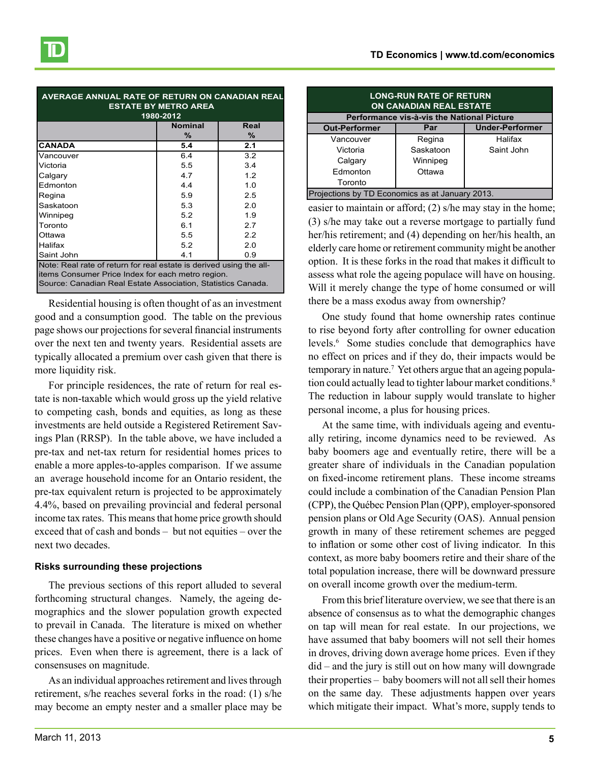| AVERAGE ANNUAL RATE OF RETURN ON CANADIAN REAL<br><b>ESTATE BY METRO AREA</b><br>1980-2012 |                |      |  |
|--------------------------------------------------------------------------------------------|----------------|------|--|
|                                                                                            | <b>Nominal</b> | Real |  |
|                                                                                            | ℅              | ℅    |  |
| <b>CANADA</b>                                                                              | 5.4            | 2.1  |  |
| Vancouver                                                                                  | 6.4            | 3.2  |  |
| Victoria                                                                                   | 5.5            | 3.4  |  |
| Calgary                                                                                    | 4.7            | 1.2  |  |
| Edmonton                                                                                   | 4.4            | 1.0  |  |
| Regina                                                                                     | 5.9            | 2.5  |  |
| Saskatoon                                                                                  | 5.3            | 2.0  |  |
| Winnipeg                                                                                   | 5.2            | 1.9  |  |
| Toronto                                                                                    | 6.1            | 2.7  |  |
| Ottawa                                                                                     | 5.5            | 2.2  |  |
| Halifax                                                                                    | 5.2            | 2.0  |  |
| Saint John                                                                                 | 4.1            | 0.9  |  |
| Note: Real rate of return for real estate is derived using the all-                        |                |      |  |
| items Consumer Price Index for each metro region.                                          |                |      |  |
| Source: Canadian Real Estate Association, Statistics Canada.                               |                |      |  |

Residential housing is often thought of as an investment good and a consumption good. The table on the previous page shows our projections for several financial instruments over the next ten and twenty years. Residential assets are typically allocated a premium over cash given that there is more liquidity risk.

For principle residences, the rate of return for real estate is non-taxable which would gross up the yield relative to competing cash, bonds and equities, as long as these investments are held outside a Registered Retirement Savings Plan (RRSP). In the table above, we have included a pre-tax and net-tax return for residential homes prices to enable a more apples-to-apples comparison. If we assume an average household income for an Ontario resident, the pre-tax equivalent return is projected to be approximately 4.4%, based on prevailing provincial and federal personal income tax rates. This means that home price growth should exceed that of cash and bonds – but not equities – over the next two decades.

#### **Risks surrounding these projections**

The previous sections of this report alluded to several forthcoming structural changes. Namely, the ageing demographics and the slower population growth expected to prevail in Canada. The literature is mixed on whether these changes have a positive or negative influence on home prices. Even when there is agreement, there is a lack of consensuses on magnitude.

As an individual approaches retirement and lives through retirement, s/he reaches several forks in the road: (1) s/he may become an empty nester and a smaller place may be

| <b>LONG-RUN RATE OF RETURN</b><br><b>ON CANADIAN REAL ESTATE</b> |           |                        |  |
|------------------------------------------------------------------|-----------|------------------------|--|
| Performance vis-à-vis the National Picture                       |           |                        |  |
| <b>Out-Performer</b>                                             | Par       | <b>Under-Performer</b> |  |
| Vancouver                                                        | Regina    | Halifax                |  |
| Victoria                                                         | Saskatoon | Saint John             |  |
| Calgary                                                          | Winnipeg  |                        |  |
| Edmonton                                                         | Ottawa    |                        |  |
| Toronto                                                          |           |                        |  |
| Projections by TD Economics as at January 2013.                  |           |                        |  |

easier to maintain or afford; (2) s/he may stay in the home; (3) s/he may take out a reverse mortgage to partially fund her/his retirement; and (4) depending on her/his health, an elderly care home or retirement community might be another option. It is these forks in the road that makes it difficult to assess what role the ageing populace will have on housing. Will it merely change the type of home consumed or will there be a mass exodus away from ownership?

One study found that home ownership rates continue to rise beyond forty after controlling for owner education levels.<sup>6</sup> Some studies conclude that demographics have no effect on prices and if they do, their impacts would be temporary in nature.7 Yet others argue that an ageing population could actually lead to tighter labour market conditions.<sup>8</sup> The reduction in labour supply would translate to higher personal income, a plus for housing prices.

At the same time, with individuals ageing and eventually retiring, income dynamics need to be reviewed. As baby boomers age and eventually retire, there will be a greater share of individuals in the Canadian population on fixed-income retirement plans. These income streams could include a combination of the Canadian Pension Plan (CPP), the Québec Pension Plan (QPP), employer-sponsored pension plans or Old Age Security (OAS). Annual pension growth in many of these retirement schemes are pegged to inflation or some other cost of living indicator. In this context, as more baby boomers retire and their share of the total population increase, there will be downward pressure on overall income growth over the medium-term.

From this brief literature overview, we see that there is an absence of consensus as to what the demographic changes on tap will mean for real estate. In our projections, we have assumed that baby boomers will not sell their homes in droves, driving down average home prices. Even if they did – and the jury is still out on how many will downgrade their properties – baby boomers will not all sell their homes on the same day. These adjustments happen over years which mitigate their impact. What's more, supply tends to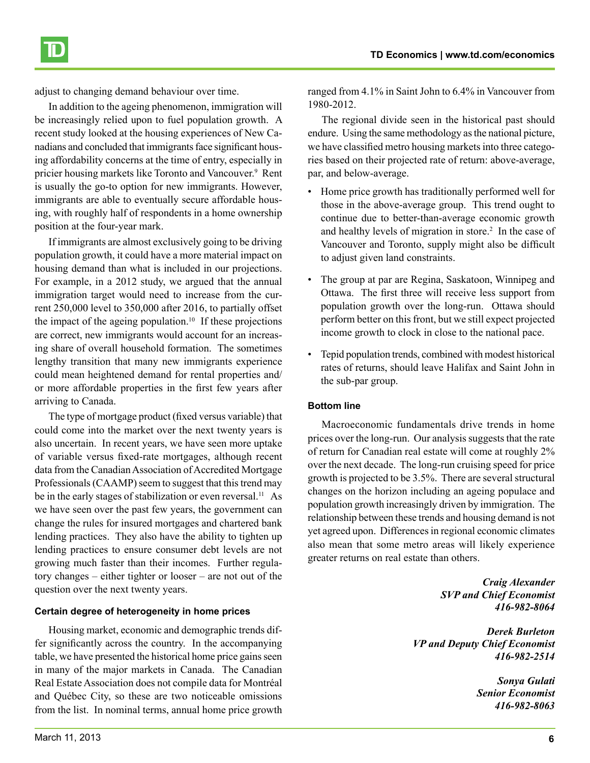

adjust to changing demand behaviour over time.

In addition to the ageing phenomenon, immigration will be increasingly relied upon to fuel population growth. A recent study looked at the housing experiences of New Canadians and concluded that immigrants face significant housing affordability concerns at the time of entry, especially in pricier housing markets like Toronto and Vancouver.<sup>9</sup> Rent is usually the go-to option for new immigrants. However, immigrants are able to eventually secure affordable housing, with roughly half of respondents in a home ownership position at the four-year mark.

If immigrants are almost exclusively going to be driving population growth, it could have a more material impact on housing demand than what is included in our projections. For example, in a 2012 study, we argued that the annual immigration target would need to increase from the current 250,000 level to 350,000 after 2016, to partially offset the impact of the ageing population.<sup>10</sup> If these projections are correct, new immigrants would account for an increasing share of overall household formation. The sometimes lengthy transition that many new immigrants experience could mean heightened demand for rental properties and/ or more affordable properties in the first few years after arriving to Canada.

The type of mortgage product (fixed versus variable) that could come into the market over the next twenty years is also uncertain. In recent years, we have seen more uptake of variable versus fixed-rate mortgages, although recent data from the Canadian Association of Accredited Mortgage Professionals (CAAMP) seem to suggest that this trend may be in the early stages of stabilization or even reversal.<sup>11</sup> As we have seen over the past few years, the government can change the rules for insured mortgages and chartered bank lending practices. They also have the ability to tighten up lending practices to ensure consumer debt levels are not growing much faster than their incomes. Further regulatory changes – either tighter or looser – are not out of the question over the next twenty years.

#### **Certain degree of heterogeneity in home prices**

Housing market, economic and demographic trends differ significantly across the country. In the accompanying table, we have presented the historical home price gains seen in many of the major markets in Canada. The Canadian Real Estate Association does not compile data for Montréal and Québec City, so these are two noticeable omissions from the list. In nominal terms, annual home price growth ranged from 4.1% in Saint John to 6.4% in Vancouver from 1980-2012.

The regional divide seen in the historical past should endure. Using the same methodology as the national picture, we have classified metro housing markets into three categories based on their projected rate of return: above-average, par, and below-average.

- Home price growth has traditionally performed well for those in the above-average group. This trend ought to continue due to better-than-average economic growth and healthy levels of migration in store.<sup>2</sup> In the case of Vancouver and Toronto, supply might also be difficult to adjust given land constraints.
- The group at par are Regina, Saskatoon, Winnipeg and Ottawa. The first three will receive less support from population growth over the long-run. Ottawa should perform better on this front, but we still expect projected income growth to clock in close to the national pace.
- Tepid population trends, combined with modest historical rates of returns, should leave Halifax and Saint John in the sub-par group.

#### **Bottom line**

Macroeconomic fundamentals drive trends in home prices over the long-run. Our analysis suggests that the rate of return for Canadian real estate will come at roughly 2% over the next decade. The long-run cruising speed for price growth is projected to be 3.5%. There are several structural changes on the horizon including an ageing populace and population growth increasingly driven by immigration. The relationship between these trends and housing demand is not yet agreed upon. Differences in regional economic climates also mean that some metro areas will likely experience greater returns on real estate than others.

> *Craig Alexander SVP and Chief Economist 416-982-8064*

*Derek Burleton VP and Deputy Chief Economist 416-982-2514*

> *Sonya Gulati Senior Economist 416-982-8063*